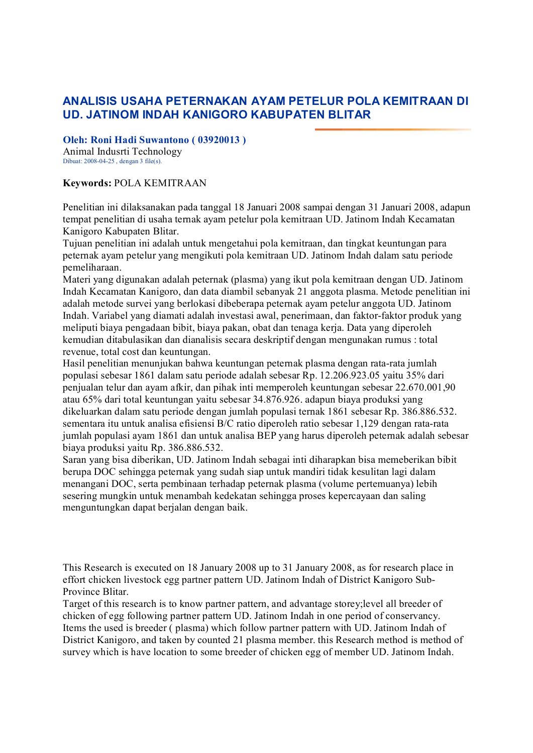## **ANALISIS USAHA PETERNAKAN AYAM PETELUR POLA KEMITRAAN DI UD. JATINOM INDAH KANIGORO KABUPATEN BLITAR**

**Oleh: Roni Hadi Suwantono ( 03920013 )**

Animal Indusrti Technology Dibuat:  $2008-04-25$ , dengan 3 file(s).

## **Keywords:** POLA KEMITRAAN

Penelitian ini dilaksanakan pada tanggal 18 Januari 2008 sampai dengan 31 Januari 2008, adapun tempat penelitian di usaha ternak ayam petelur pola kemitraan UD. Jatinom Indah Kecamatan Kanigoro Kabupaten Blitar.

Tujuan penelitian ini adalah untuk mengetahui pola kemitraan, dan tingkat keuntungan para peternak ayam petelur yang mengikuti pola kemitraan UD. Jatinom Indah dalam satu periode pemeliharaan.

Materi yang digunakan adalah peternak (plasma) yang ikut pola kemitraan dengan UD. Jatinom Indah Kecamatan Kanigoro, dan data diambil sebanyak 21 anggota plasma. Metode penelitian ini adalah metode survei yang berlokasi dibeberapa peternak ayam petelur anggota UD. Jatinom Indah. Variabel yang diamati adalah investasi awal, penerimaan, dan faktor-faktor produk yang meliputi biaya pengadaan bibit, biaya pakan, obat dan tenaga kerja. Data yang diperoleh kemudian ditabulasikan dan dianalisis secara deskriptif dengan mengunakan rumus : total revenue, total cost dan keuntungan.

Hasil penelitian menunjukan bahwa keuntungan peternak plasma dengan rata-rata jumlah populasi sebesar 1861 dalam satu periode adalah sebesar Rp. 12.206.923.05 yaitu 35% dari penjualan telur dan ayam afkir, dan pihak inti memperoleh keuntungan sebesar 22.670.001,90 atau 65% dari total keuntungan yaitu sebesar 34.876.926. adapun biaya produksi yang dikeluarkan dalam satu periode dengan jumlah populasi ternak 1861 sebesar Rp. 386.886.532. sementara itu untuk analisa efisiensi B/C ratio diperoleh ratio sebesar 1,129 dengan rata-rata jumlah populasi ayam 1861 dan untuk analisa BEP yang harus diperoleh peternak adalah sebesar biaya produksi yaitu Rp. 386.886.532.

Saran yang bisa diberikan, UD. Jatinom Indah sebagai inti diharapkan bisa memeberikan bibit berupa DOC sehingga peternak yang sudah siap untuk mandiri tidak kesulitan lagi dalam menangani DOC, serta pembinaan terhadap peternak plasma (volume pertemuanya) lebih sesering mungkin untuk menambah kedekatan sehingga proses kepercayaan dan saling menguntungkan dapat berjalan dengan baik.

This Research is executed on 18 January 2008 up to 31 January 2008, as for research place in effort chicken livestock egg partner pattern UD. Jatinom Indah of District Kanigoro Sub Province Blitar.

Target of this research is to know partner pattern, and advantage storey;level all breeder of chicken of egg following partner pattern UD. Jatinom Indah in one period of conservancy. Items the used is breeder ( plasma) which follow partner pattern with UD. Jatinom Indah of District Kanigoro, and taken by counted 21 plasma member. this Research method is method of survey which is have location to some breeder of chicken egg of member UD. Jatinom Indah.